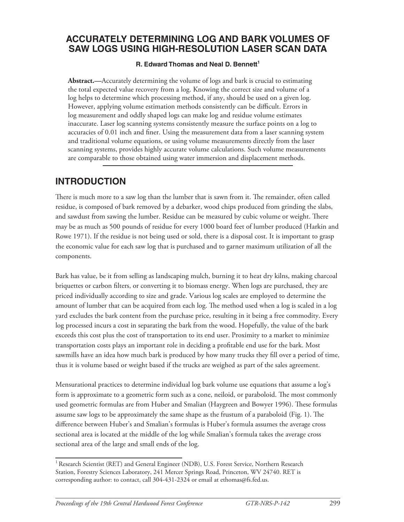### **Accurately Determining Log and Bark Volumes of Saw Logs Using High-Resolution Laser Scan Data**

#### **R. Edward Thomas and Neal D. Bennett<sup>1</sup>**

**Abstract.—**Accurately determining the volume of logs and bark is crucial to estimating the total expected value recovery from a log. Knowing the correct size and volume of a log helps to determine which processing method, if any, should be used on a given log. However, applying volume estimation methods consistently can be difficult. Errors in log measurement and oddly shaped logs can make log and residue volume estimates inaccurate. Laser log scanning systems consistently measure the surface points on a log to accuracies of 0.01 inch and finer. Using the measurement data from a laser scanning system and traditional volume equations, or using volume measurements directly from the laser scanning systems, provides highly accurate volume calculations. Such volume measurements are comparable to those obtained using water immersion and displacement methods.

#### **INTRODUCTION**

There is much more to a saw log than the lumber that is sawn from it. The remainder, often called residue, is composed of bark removed by a debarker, wood chips produced from grinding the slabs, and sawdust from sawing the lumber. Residue can be measured by cubic volume or weight. There may be as much as 500 pounds of residue for every 1000 board feet of lumber produced (Harkin and Rowe 1971). If the residue is not being used or sold, there is a disposal cost. It is important to grasp the economic value for each saw log that is purchased and to garner maximum utilization of all the components.

Bark has value, be it from selling as landscaping mulch, burning it to heat dry kilns, making charcoal briquettes or carbon filters, or converting it to biomass energy. When logs are purchased, they are priced individually according to size and grade. Various log scales are employed to determine the amount of lumber that can be acquired from each log. The method used when a log is scaled in a log yard excludes the bark content from the purchase price, resulting in it being a free commodity. Every log processed incurs a cost in separating the bark from the wood. Hopefully, the value of the bark exceeds this cost plus the cost of transportation to its end user. Proximity to a market to minimize transportation costs plays an important role in deciding a profitable end use for the bark. Most sawmills have an idea how much bark is produced by how many trucks they fill over a period of time, thus it is volume based or weight based if the trucks are weighed as part of the sales agreement.

Mensurational practices to determine individual log bark volume use equations that assume a log's form is approximate to a geometric form such as a cone, neiloid, or paraboloid. The most commonly used geometric formulas are from Huber and Smalian (Haygreen and Bowyer 1996). These formulas assume saw logs to be approximately the same shape as the frustum of a paraboloid (Fig. 1). The difference between Huber's and Smalian's formulas is Huber's formula assumes the average cross sectional area is located at the middle of the log while Smalian's formula takes the average cross sectional area of the large and small ends of the log.

<sup>&</sup>lt;sup>1</sup> Research Scientist (RET) and General Engineer (NDB), U.S. Forest Service, Northern Research Station, Forestry Sciences Laboratory, 241 Mercer Springs Road, Princeton, WV 24740. RET is corresponding author: to contact, call 304-431-2324 or email at ethomas@fs.fed.us.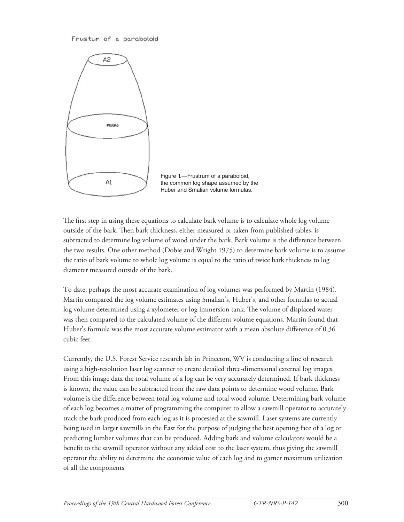#### Frustum of a paraboloid



Figure 1.—Frustrum of a paraboloid, the common log shape assumed by the Huber and Smalian volume formulas.

The first step in using these equations to calculate bark volume is to calculate whole log volume outside of the bark. Then bark thickness, either measured or taken from published tables, is subtracted to determine log volume of wood under the bark. Bark volume is the difference between the two results. One other method (Dobie and Wright 1975) to determine bark volume is to assume the ratio of bark volume to whole log volume is equal to the ratio of twice bark thickness to log diameter measured outside of the bark.

To date, perhaps the most accurate examination of log volumes was performed by Martin (1984). Martin compared the log volume estimates using Smalian's, Huber's, and other formulas to actual log volume determined using a xylometer or log immersion tank. The volume of displaced water was then compared to the calculated volume of the different volume equations. Martin found that Huber's formula was the most accurate volume estimator with a mean absolute difference of 0.36 cubic feet.

Currently, the U.S. Forest Service research lab in Princeton, WV is conducting a line of research using a high-resolution laser log scanner to create detailed three-dimensional external log images. From this image data the total volume of a log can be very accurately determined. If bark thickness is known, the value can be subtracted from the raw data points to determine wood volume. Bark volume is the difference between total log volume and total wood volume. Determining bark volume of each log becomes a matter of programming the computer to allow a sawmill operator to accurately track the bark produced from each log as it is processed at the sawmill. Laser systems are currently being used in larger sawmills in the East for the purpose of judging the best opening face of a log or predicting lumber volumes that can be produced. Adding bark and volume calculators would be a benefit to the sawmill operator without any added cost to the laser system, thus giving the sawmill operator the ability to determine the economic value of each log and to garner maximum utilization of all the components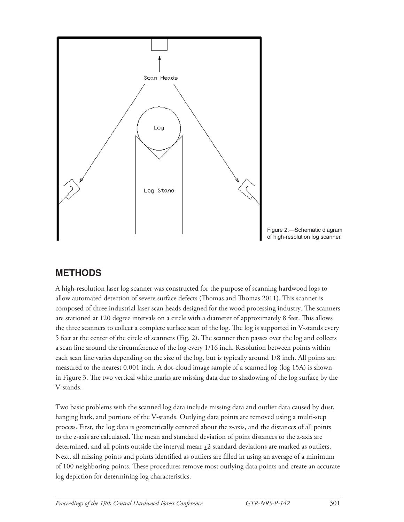

### **METHODS**

A high-resolution laser log scanner was constructed for the purpose of scanning hardwood logs to allow automated detection of severe surface defects (Thomas and Thomas 2011). This scanner is composed of three industrial laser scan heads designed for the wood processing industry. The scanners are stationed at 120 degree intervals on a circle with a diameter of approximately 8 feet. This allows the three scanners to collect a complete surface scan of the log. The log is supported in V-stands every 5 feet at the center of the circle of scanners (Fig. 2). The scanner then passes over the log and collects a scan line around the circumference of the log every 1/16 inch. Resolution between points within each scan line varies depending on the size of the log, but is typically around 1/8 inch. All points are measured to the nearest 0.001 inch. A dot-cloud image sample of a scanned log (log 15A) is shown in Figure 3. The two vertical white marks are missing data due to shadowing of the log surface by the V-stands.

Two basic problems with the scanned log data include missing data and outlier data caused by dust, hanging bark, and portions of the V-stands. Outlying data points are removed using a multi-step process. First, the log data is geometrically centered about the z-axis, and the distances of all points to the z-axis are calculated. The mean and standard deviation of point distances to the z-axis are determined, and all points outside the interval mean  $\pm 2$  standard deviations are marked as outliers. Next, all missing points and points identified as outliers are filled in using an average of a minimum of 100 neighboring points. These procedures remove most outlying data points and create an accurate log depiction for determining log characteristics.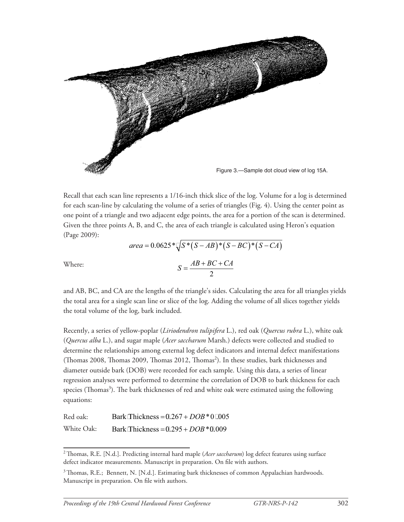

Recall that each scan line represents a 1/16-inch thick slice of the log. Volume for a log is determined for each scan-line by calculating the volume of a series of triangles (Fig. 4). Using the center point as one point of a triangle and two adjacent edge points, the area for a portion of the scan is determined. Given the three points A, B, and C, the area of each triangle is calculated using Heron's equation (Page 2009):  $area = 0.0625 * \sqrt{S*(S - AB)*(S - BC)*(S - CA)}$ 

Where: 
$$
S = \frac{AB + BC + CA}{2}
$$

and AB, BC, and CA are the lengths of the triangle's sides. Calculating the area for all triangles yields the total area for a single scan line or slice of the log. Adding the volume of all slices together yields the total volume of the log, bark included.

Recently, a series of yellow-poplar (*Liriodendron tulipifera* L.), red oak (*Quercus rubra* L.), white oak (*Quercus alba* L.), and sugar maple (*Acer saccharum* Marsh.) defects were collected and studied to determine the relationships among external log defect indicators and internal defect manifestations (Thomas 2008, Thomas 2009, Thomas 2012, Thomas<sup>2</sup>). In these studies, bark thicknesses and diameter outside bark (DOB) were recorded for each sample. Using this data, a series of linear regression analyses were performed to determine the correlation of DOB to bark thickness for each species (Thomas<sup>3</sup>). The bark thicknesses of red and white oak were estimated using the following equations:

| Red oak:   | Bark Thickness = $0.267 + DOB*0.005$   |
|------------|----------------------------------------|
| White Oak: | Bark Thickness = $0.295 + DOB * 0.009$ |

<sup>&</sup>lt;sup>2</sup> Thomas, R.E. [N.d.]. Predicting internal hard maple (Acer saccharum) log defect features using surface defect indicator measurements. Manuscript in preparation. On file with authors.

<sup>&</sup>lt;sup>3</sup> Thomas, R.E.; Bennett, N. [N.d.]. Estimating bark thicknesses of common Appalachian hardwoods. Manuscript in preparation. On file with authors.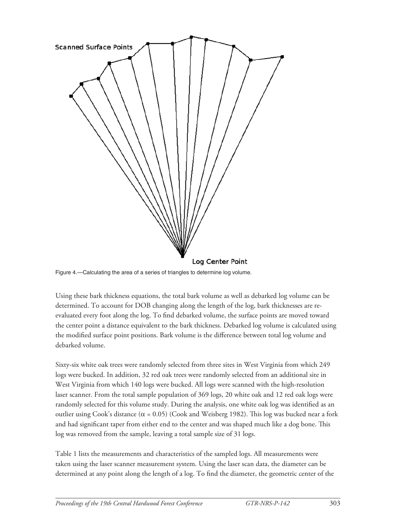

Figure 4.—Calculating the area of a series of triangles to determine log volume.

Using these bark thickness equations, the total bark volume as well as debarked log volume can be determined. To account for DOB changing along the length of the log, bark thicknesses are reevaluated every foot along the log. To find debarked volume, the surface points are moved toward the center point a distance equivalent to the bark thickness. Debarked log volume is calculated using the modified surface point positions. Bark volume is the difference between total log volume and debarked volume.

Sixty-six white oak trees were randomly selected from three sites in West Virginia from which 249 logs were bucked. In addition, 32 red oak trees were randomly selected from an additional site in West Virginia from which 140 logs were bucked. All logs were scanned with the high-resolution laser scanner. From the total sample population of 369 logs, 20 white oak and 12 red oak logs were randomly selected for this volume study. During the analysis, one white oak log was identified as an outlier using Cook's distance ( $α = 0.05$ ) (Cook and Weisberg 1982). This log was bucked near a fork and had significant taper from either end to the center and was shaped much like a dog bone. This log was removed from the sample, leaving a total sample size of 31 logs.

Table 1 lists the measurements and characteristics of the sampled logs. All measurements were taken using the laser scanner measurement system. Using the laser scan data, the diameter can be determined at any point along the length of a log. To find the diameter, the geometric center of the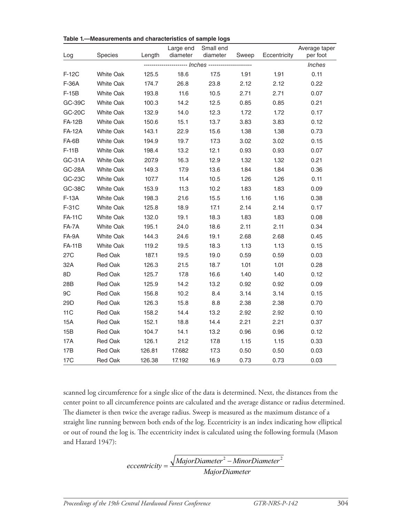| Log             | Species          | Length                      | Large end<br>diameter | Small end<br>diameter | Sweep | Eccentricity | Average taper<br>per foot |
|-----------------|------------------|-----------------------------|-----------------------|-----------------------|-------|--------------|---------------------------|
|                 |                  | ------ Inches ------------- |                       |                       |       |              |                           |
| F-12C           | <b>White Oak</b> | 125.5                       | 18.6                  | 17.5                  | 1.91  | 1.91         | 0.11                      |
| F-36A           | <b>White Oak</b> | 174.7                       | 26.8                  | 23.8                  | 2.12  | 2.12         | 0.22                      |
| $F-15B$         | <b>White Oak</b> | 193.8                       | 11.6                  | 10.5                  | 2.71  | 2.71         | 0.07                      |
| GC-39C          | <b>White Oak</b> | 100.3                       | 14.2                  | 12.5                  | 0.85  | 0.85         | 0.21                      |
| GC-20C          | White Oak        | 132.9                       | 14.0                  | 12.3                  | 1.72  | 1.72         | 0.17                      |
| <b>FA-12B</b>   | <b>White Oak</b> | 150.6                       | 15.1                  | 13.7                  | 3.83  | 3.83         | 0.12                      |
| <b>FA-12A</b>   | <b>White Oak</b> | 143.1                       | 22.9                  | 15.6                  | 1.38  | 1.38         | 0.73                      |
| FA-6B           | <b>White Oak</b> | 194.9                       | 19.7                  | 17.3                  | 3.02  | 3.02         | 0.15                      |
| $F-11B$         | <b>White Oak</b> | 198.4                       | 13.2                  | 12.1                  | 0.93  | 0.93         | 0.07                      |
| GC-31A          | <b>White Oak</b> | 207.9                       | 16.3                  | 12.9                  | 1.32  | 1.32         | 0.21                      |
| <b>GC-28A</b>   | <b>White Oak</b> | 149.3                       | 17.9                  | 13.6                  | 1.84  | 1.84         | 0.36                      |
| GC-23C          | <b>White Oak</b> | 107.7                       | 11.4                  | 10.5                  | 1.26  | 1.26         | 0.11                      |
| GC-38C          | <b>White Oak</b> | 153.9                       | 11.3                  | 10.2                  | 1.83  | 1.83         | 0.09                      |
| F-13A           | <b>White Oak</b> | 198.3                       | 21.6                  | 15.5                  | 1.16  | 1.16         | 0.38                      |
| F-31C           | <b>White Oak</b> | 125.8                       | 18.9                  | 17.1                  | 2.14  | 2.14         | 0.17                      |
| <b>FA-11C</b>   | White Oak        | 132.0                       | 19.1                  | 18.3                  | 1.83  | 1.83         | 0.08                      |
| FA-7A           | <b>White Oak</b> | 195.1                       | 24.0                  | 18.6                  | 2.11  | 2.11         | 0.34                      |
| FA-9A           | <b>White Oak</b> | 144.3                       | 24.6                  | 19.1                  | 2.68  | 2.68         | 0.45                      |
| <b>FA-11B</b>   | <b>White Oak</b> | 119.2                       | 19.5                  | 18.3                  | 1.13  | 1.13         | 0.15                      |
| 27C             | <b>Red Oak</b>   | 187.1                       | 19.5                  | 19.0                  | 0.59  | 0.59         | 0.03                      |
| 32A             | <b>Red Oak</b>   | 126.3                       | 21.5                  | 18.7                  | 1.01  | 1.01         | 0.28                      |
| 8D              | Red Oak          | 125.7                       | 17.8                  | 16.6                  | 1.40  | 1.40         | 0.12                      |
| 28B             | <b>Red Oak</b>   | 125.9                       | 14.2                  | 13.2                  | 0.92  | 0.92         | 0.09                      |
| 9C              | <b>Red Oak</b>   | 156.8                       | 10.2                  | 8.4                   | 3.14  | 3.14         | 0.15                      |
| 29D             | Red Oak          | 126.3                       | 15.8                  | 8.8                   | 2.38  | 2.38         | 0.70                      |
| 11C             | <b>Red Oak</b>   | 158.2                       | 14.4                  | 13.2                  | 2.92  | 2.92         | 0.10                      |
| 15A             | <b>Red Oak</b>   | 152.1                       | 18.8                  | 14.4                  | 2.21  | 2.21         | 0.37                      |
| 15B             | <b>Red Oak</b>   | 104.7                       | 14.1                  | 13.2                  | 0.96  | 0.96         | 0.12                      |
| 17A             | Red Oak          | 126.1                       | 21.2                  | 17.8                  | 1.15  | 1.15         | 0.33                      |
| 17B             | Red Oak          | 126.81                      | 17.682                | 17.3                  | 0.50  | 0.50         | 0.03                      |
| 17 <sub>C</sub> | <b>Red Oak</b>   | 126.38                      | 17.192                | 16.9                  | 0.73  | 0.73         | 0.03                      |

**Table 1.—Measurements and characteristics of sample logs**

scanned log circumference for a single slice of the data is determined. Next, the distances from the center point to all circumference points are calculated and the average distance or radius determined. The diameter is then twice the average radius. Sweep is measured as the maximum distance of a straight line running between both ends of the log. Eccentricity is an index indicating how elliptical or out of round the log is. The eccentricity index is calculated using the following formula (Mason and Hazard 1947):

$$
eccentricity = \frac{\sqrt{MajorDiameter^2 - MinorDiameter^2}}{MajorDiameter}
$$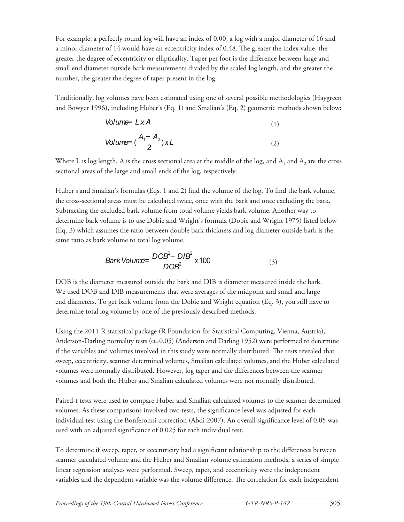For example, a perfectly round log will have an index of 0.00, a log with a major diameter of 16 and a minor diameter of 14 would have an eccentricity index of 0.48. The greater the index value, the greater the degree of eccentricity or ellipticality. Taper per foot is the difference between large and small end diameter outside bark measurements divided by the scaled log length, and the greater the number, the greater the degree of taper present in the log.

Traditionally, log volumes have been estimated using one of several possible methodologies (Haygreen and Bowyer 1996), including Huber's (Eq. 1) and Smalian's (Eq. 2) geometric methods shown below:

Volume= 
$$
L \times A
$$
 (1)  
\nVolume=  $(\frac{A_1 + A_2}{2}) \times L$  (2)

Where L is log length, A is the cross sectional area at the middle of the log, and  $A_1$  and  $A_2$  are the cross sectional areas of the large and small ends of the log, respectively.

Huber's and Smalian's formulas (Eqs. 1 and 2) find the volume of the log. To find the bark volume, the cross-sectional areas must be calculated twice, once with the bark and once excluding the bark. Subtracting the excluded bark volume from total volume yields bark volume. Another way to determine bark volume is to use Dobie and Wright's formula (Dobie and Wright 1975) listed below (Eq. 3) which assumes the ratio between double bark thickness and log diameter outside bark is the same ratio as bark volume to total log volume.

$$
Bark Volume = \frac{DOB^2 - DIB^2}{DOB^2} \times 100
$$
 (3)

DOB is the diameter measured outside the bark and DIB is diameter measured inside the bark. We used DOB and DIB measurements that were averages of the midpoint and small and large end diameters. To get bark volume from the Dobie and Wright equation (Eq. 3), you still have to determine total log volume by one of the previously described methods.

Using the 2011 R statistical package (R Foundation for Statistical Computing, Vienna, Austria), Anderson-Darling normality tests ( $\alpha$ =0.05) (Anderson and Darling 1952) were performed to determine if the variables and volumes involved in this study were normally distributed. The tests revealed that sweep, eccentricity, scanner determined volumes, Smalian calculated volumes, and the Huber calculated volumes were normally distributed. However, log taper and the differences between the scanner volumes and both the Huber and Smalian calculated volumes were not normally distributed.

Paired-t tests were used to compare Huber and Smalian calculated volumes to the scanner determined volumes. As these comparisons involved two tests, the significance level was adjusted for each individual test using the Bonferonni correction (Abdi 2007). An overall significance level of 0.05 was used with an adjusted significance of 0.025 for each individual test.

To determine if sweep, taper, or eccentricity had a significant relationship to the differences between scanner calculated volume and the Huber and Smalian volume estimation methods, a series of simple linear regression analyses were performed. Sweep, taper, and eccentricity were the independent variables and the dependent variable was the volume difference. The correlation for each independent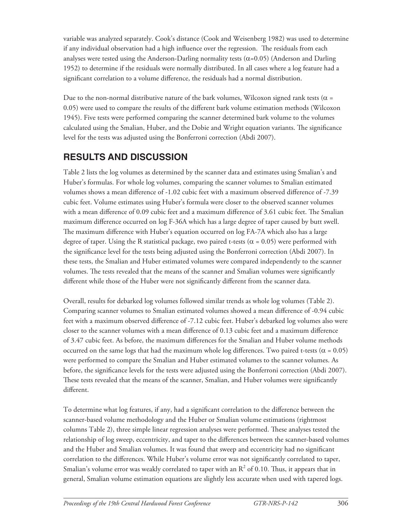variable was analyzed separately. Cook's distance (Cook and Weisenberg 1982) was used to determine if any individual observation had a high influence over the regression. The residuals from each analyses were tested using the Anderson-Darling normality tests  $(\alpha=0.05)$  (Anderson and Darling 1952) to determine if the residuals were normally distributed. In all cases where a log feature had a significant correlation to a volume difference, the residuals had a normal distribution.

Due to the non-normal distributive nature of the bark volumes, Wilcoxon signed rank tests ( $\alpha$  = 0.05) were used to compare the results of the different bark volume estimation methods (Wilcoxon 1945). Five tests were performed comparing the scanner determined bark volume to the volumes calculated using the Smalian, Huber, and the Dobie and Wright equation variants. The significance level for the tests was adjusted using the Bonferroni correction (Abdi 2007).

# **RESULTS AND DISCUSSION**

Table 2 lists the log volumes as determined by the scanner data and estimates using Smalian's and Huber's formulas. For whole log volumes, comparing the scanner volumes to Smalian estimated volumes shows a mean difference of -1.02 cubic feet with a maximum observed difference of -7.39 cubic feet. Volume estimates using Huber's formula were closer to the observed scanner volumes with a mean difference of 0.09 cubic feet and a maximum difference of 3.61 cubic feet. The Smalian maximum difference occurred on log F-36A which has a large degree of taper caused by butt swell. The maximum difference with Huber's equation occurred on log FA-7A which also has a large degree of taper. Using the R statistical package, two paired t-tests ( $\alpha$  = 0.05) were performed with the significance level for the tests being adjusted using the Bonferroni correction (Abdi 2007). In these tests, the Smalian and Huber estimated volumes were compared independently to the scanner volumes. The tests revealed that the means of the scanner and Smalian volumes were significantly different while those of the Huber were not significantly different from the scanner data.

Overall, results for debarked log volumes followed similar trends as whole log volumes (Table 2). Comparing scanner volumes to Smalian estimated volumes showed a mean difference of -0.94 cubic feet with a maximum observed difference of -7.12 cubic feet. Huber's debarked log volumes also were closer to the scanner volumes with a mean difference of 0.13 cubic feet and a maximum difference of 3.47 cubic feet. As before, the maximum differences for the Smalian and Huber volume methods occurred on the same logs that had the maximum whole log differences. Two paired t-tests ( $\alpha$  = 0.05) were performed to compare the Smalian and Huber estimated volumes to the scanner volumes. As before, the significance levels for the tests were adjusted using the Bonferroni correction (Abdi 2007). These tests revealed that the means of the scanner, Smalian, and Huber volumes were significantly different.

To determine what log features, if any, had a significant correlation to the difference between the scanner-based volume methodology and the Huber or Smalian volume estimations (rightmost columns Table 2), three simple linear regression analyses were performed. These analyses tested the relationship of log sweep, eccentricity, and taper to the differences between the scanner-based volumes and the Huber and Smalian volumes. It was found that sweep and eccentricity had no significant correlation to the differences. While Huber's volume error was not significantly correlated to taper, Smalian's volume error was weakly correlated to taper with an  $R^2$  of 0.10. Thus, it appears that in general, Smalian volume estimation equations are slightly less accurate when used with tapered logs.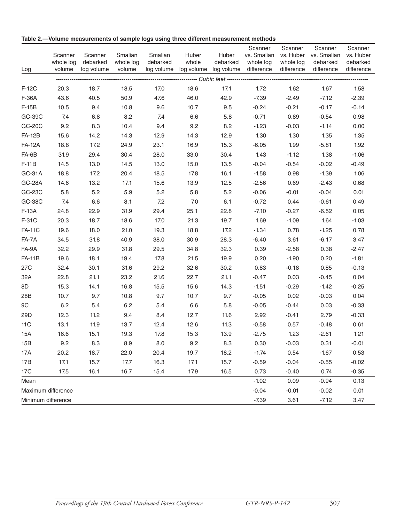| Log                | Scanner<br>whole log<br>volume | Scanner<br>debarked<br>log volume | Smalian<br>whole log<br>volume | Smalian<br>debarked | Huber<br>whole | Huber<br>debarked | Scanner<br>vs. Smalian vs. Huber<br>whole log<br>log volume log volume log volume difference difference | Scanner<br>whole log | Scanner<br>vs. Smalian<br>debarked<br>difference | Scanner<br>vs. Huber<br>debarked<br>difference |
|--------------------|--------------------------------|-----------------------------------|--------------------------------|---------------------|----------------|-------------------|---------------------------------------------------------------------------------------------------------|----------------------|--------------------------------------------------|------------------------------------------------|
|                    |                                |                                   |                                |                     |                |                   |                                                                                                         |                      |                                                  |                                                |
| F-12C              | 20.3                           | 18.7                              | 18.5                           | 17.0                | 18.6           | 17.1              | 1.72                                                                                                    | 1.62                 | 1.67                                             | 1.58                                           |
| F-36A              | 43.6                           | 40.5                              | 50.9                           | 47.6                | 46.0           | 42.9              | $-7.39$                                                                                                 | $-2.49$              | $-7.12$                                          | $-2.39$                                        |
| $F-15B$            | 10.5                           | 9.4                               | 10.8                           | 9.6                 | 10.7           | 9.5               | $-0.24$                                                                                                 | $-0.21$              | $-0.17$                                          | $-0.14$                                        |
| GC-39C             | 7.4                            | 6.8                               | 8.2                            | 7.4                 | 6.6            | 5.8               | $-0.71$                                                                                                 | 0.89                 | $-0.54$                                          | 0.98                                           |
| GC-20C             | 9.2                            | 8.3                               | 10.4                           | 9.4                 | 9.2            | 8.2               | $-1.23$                                                                                                 | $-0.03$              | $-1.14$                                          | 0.00                                           |
| <b>FA-12B</b>      | 15.6                           | 14.2                              | 14.3                           | 12.9                | 14.3           | 12.9              | 1.30                                                                                                    | 1.30                 | 1.35                                             | 1.35                                           |
| <b>FA-12A</b>      | 18.8                           | 17.2                              | 24.9                           | 23.1                | 16.9           | 15.3              | $-6.05$                                                                                                 | 1.99                 | $-5.81$                                          | 1.92                                           |
| FA-6B              | 31.9                           | 29.4                              | 30.4                           | 28.0                | 33.0           | 30.4              | 1.43                                                                                                    | $-1.12$              | 1.38                                             | $-1.06$                                        |
| $F-11B$            | 14.5                           | 13.0                              | 14.5                           | 13.0                | 15.0           | 13.5              | $-0.04$                                                                                                 | $-0.54$              | $-0.02$                                          | $-0.49$                                        |
| GC-31A             | 18.8                           | 17.2                              | 20.4                           | 18.5                | 17.8           | 16.1              | $-1.58$                                                                                                 | 0.98                 | $-1.39$                                          | 1.06                                           |
| <b>GC-28A</b>      | 14.6                           | 13.2                              | 17.1                           | 15.6                | 13.9           | 12.5              | $-2.56$                                                                                                 | 0.69                 | $-2.43$                                          | 0.68                                           |
| GC-23C             | 5.8                            | 5.2                               | 5.9                            | 5.2                 | 5.8            | 5.2               | $-0.06$                                                                                                 | $-0.01$              | $-0.04$                                          | 0.01                                           |
| GC-38C             | 7.4                            | 6.6                               | 8.1                            | 7.2                 | 7.0            | 6.1               | $-0.72$                                                                                                 | 0.44                 | $-0.61$                                          | 0.49                                           |
| F-13A              | 24.8                           | 22.9                              | 31.9                           | 29.4                | 25.1           | 22.8              | $-7.10$                                                                                                 | $-0.27$              | $-6.52$                                          | 0.05                                           |
| F-31C              | 20.3                           | 18.7                              | 18.6                           | 17.0                | 21.3           | 19.7              | 1.69                                                                                                    | $-1.09$              | 1.64                                             | $-1.03$                                        |
| <b>FA-11C</b>      | 19.6                           | 18.0                              | 21.0                           | 19.3                | 18.8           | 17.2              | $-1.34$                                                                                                 | 0.78                 | $-1.25$                                          | 0.78                                           |
| FA-7A              | 34.5                           | 31.8                              | 40.9                           | 38.0                | 30.9           | 28.3              | $-6.40$                                                                                                 | 3.61                 | $-6.17$                                          | 3.47                                           |
| FA-9A              | 32.2                           | 29.9                              | 31.8                           | 29.5                | 34.8           | 32.3              | 0.39                                                                                                    | $-2.58$              | 0.38                                             | $-2.47$                                        |
| <b>FA-11B</b>      | 19.6                           | 18.1                              | 19.4                           | 17.8                | 21.5           | 19.9              | 0.20                                                                                                    | $-1.90$              | 0.20                                             | $-1.81$                                        |
| 27C                | 32.4                           | 30.1                              | 31.6                           | 29.2                | 32.6           | 30.2              | 0.83                                                                                                    | $-0.18$              | 0.85                                             | $-0.13$                                        |
| 32A                | 22.8                           | 21.1                              | 23.2                           | 21.6                | 22.7           | 21.1              | $-0.47$                                                                                                 | 0.03                 | $-0.45$                                          | 0.04                                           |
| 8D                 | 15.3                           | 14.1                              | 16.8                           | 15.5                | 15.6           | 14.3              | $-1.51$                                                                                                 | $-0.29$              | $-1.42$                                          | $-0.25$                                        |
| 28B                | 10.7                           | 9.7                               | 10.8                           | 9.7                 | 10.7           | 9.7               | $-0.05$                                                                                                 | 0.02                 | $-0.03$                                          | 0.04                                           |
| $9\mathrm{C}$      | 6.2                            | 5.4                               | 6.2                            | 5.4                 | 6.6            | 5.8               | $-0.05$                                                                                                 | $-0.44$              | 0.03                                             | $-0.33$                                        |
| 29D                | 12.3                           | 11.2                              | 9.4                            | 8.4                 | 12.7           | 11.6              | 2.92                                                                                                    | $-0.41$              | 2.79                                             | $-0.33$                                        |
| 11C                | 13.1                           | 11.9                              | 13.7                           | 12.4                | 12.6           | 11.3              | $-0.58$                                                                                                 | 0.57                 | $-0.48$                                          | 0.61                                           |
| 15A                | 16.6                           | 15.1                              | 19.3                           | 17.8                | 15.3           | 13.9              | $-2.75$                                                                                                 | 1.23                 | $-2.61$                                          | 1.21                                           |
| 15B                | 9.2                            | 8.3                               | 8.9                            | 8.0                 | 9.2            | 8.3               | 0.30                                                                                                    | $-0.03$              | 0.31                                             | $-0.01$                                        |
| 17A                | 20.2                           | 18.7                              | 22.0                           | 20.4                | 19.7           | 18.2              | $-1.74$                                                                                                 | 0.54                 | $-1.67$                                          | 0.53                                           |
| 17B                | 17.1                           | 15.7                              | 17.7                           | 16.3                | 17.1           | 15.7              | $-0.59$                                                                                                 | $-0.04$              | $-0.55$                                          | $-0.02$                                        |
| 17C                | 17.5                           | 16.1                              | 16.7                           | 15.4                | 17.9           | 16.5              | 0.73                                                                                                    | $-0.40$              | 0.74                                             | $-0.35$                                        |
| Mean               |                                |                                   |                                |                     |                |                   | $-1.02$                                                                                                 | 0.09                 | $-0.94$                                          | 0.13                                           |
|                    | Maximum difference             |                                   |                                |                     |                |                   | $-0.04$                                                                                                 | $-0.01$              | $-0.02$                                          | 0.01                                           |
| Minimum difference |                                |                                   |                                |                     |                |                   | $-7.39$                                                                                                 | 3.61                 | $-7.12$                                          | 3.47                                           |

**Table 2.—Volume measurements of sample logs using three different measurement methods**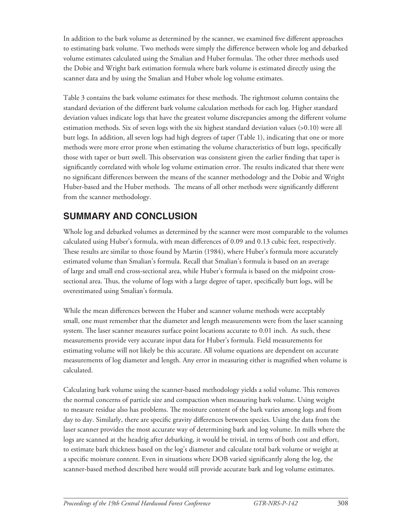In addition to the bark volume as determined by the scanner, we examined five different approaches to estimating bark volume. Two methods were simply the difference between whole log and debarked volume estimates calculated using the Smalian and Huber formulas. The other three methods used the Dobie and Wright bark estimation formula where bark volume is estimated directly using the scanner data and by using the Smalian and Huber whole log volume estimates.

Table 3 contains the bark volume estimates for these methods. The rightmost column contains the standard deviation of the different bark volume calculation methods for each log. Higher standard deviation values indicate logs that have the greatest volume discrepancies among the different volume estimation methods. Six of seven logs with the six highest standard deviation values (>0.10) were all butt logs. In addition, all seven logs had high degrees of taper (Table 1), indicating that one or more methods were more error prone when estimating the volume characteristics of butt logs, specifically those with taper or butt swell. This observation was consistent given the earlier finding that taper is significantly correlated with whole log volume estimation error. The results indicated that there were no significant differences between the means of the scanner methodology and the Dobie and Wright Huber-based and the Huber methods. The means of all other methods were significantly different from the scanner methodology.

## **SUMMARY AND CONCLUSION**

Whole log and debarked volumes as determined by the scanner were most comparable to the volumes calculated using Huber's formula, with mean differences of 0.09 and 0.13 cubic feet, respectively. These results are similar to those found by Martin (1984), where Huber's formula more accurately estimated volume than Smalian's formula. Recall that Smalian's formula is based on an average of large and small end cross-sectional area, while Huber's formula is based on the midpoint crosssectional area. Thus, the volume of logs with a large degree of taper, specifically butt logs, will be overestimated using Smalian's formula.

While the mean differences between the Huber and scanner volume methods were acceptably small, one must remember that the diameter and length measurements were from the laser scanning system. The laser scanner measures surface point locations accurate to 0.01 inch. As such, these measurements provide very accurate input data for Huber's formula. Field measurements for estimating volume will not likely be this accurate. All volume equations are dependent on accurate measurements of log diameter and length. Any error in measuring either is magnified when volume is calculated.

Calculating bark volume using the scanner-based methodology yields a solid volume. This removes the normal concerns of particle size and compaction when measuring bark volume. Using weight to measure residue also has problems. The moisture content of the bark varies among logs and from day to day. Similarly, there are specific gravity differences between species. Using the data from the laser scanner provides the most accurate way of determining bark and log volume. In mills where the logs are scanned at the headrig after debarking, it would be trivial, in terms of both cost and effort, to estimate bark thickness based on the log's diameter and calculate total bark volume or weight at a specific moisture content. Even in situations where DOB varied significantly along the log, the scanner-based method described here would still provide accurate bark and log volume estimates.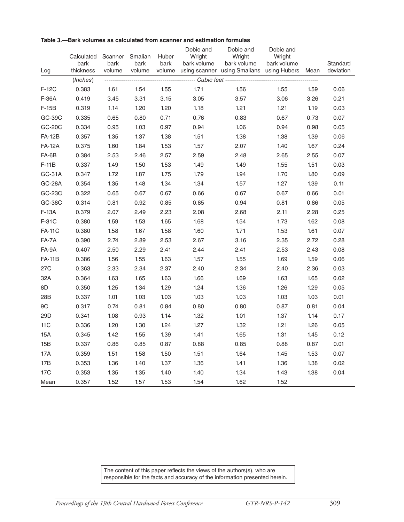| Log             | Calculated<br>bark<br>thickness | Scanner<br>bark<br>volume | Smalian<br>bark<br>volume | Huber<br>bark<br>volume | Dobie and<br>Wright<br>bark volume | Dobie and<br>Wright<br>bark volume<br>using scanner using Smalians using Hubers | Dobie and<br>Wright<br>bark volume | Mean | Standard<br>deviation |
|-----------------|---------------------------------|---------------------------|---------------------------|-------------------------|------------------------------------|---------------------------------------------------------------------------------|------------------------------------|------|-----------------------|
|                 | (Inches)                        |                           |                           |                         |                                    |                                                                                 |                                    |      |                       |
| $F-12C$         | 0.383                           | 1.61                      | 1.54                      | 1.55                    | 1.71                               | 1.56                                                                            | 1.55                               | 1.59 | 0.06                  |
| F-36A           | 0.419                           | 3.45                      | 3.31                      | 3.15                    | 3.05                               | 3.57                                                                            | 3.06                               | 3.26 | 0.21                  |
| $F-15B$         | 0.319                           | 1.14                      | 1.20                      | 1.20                    | 1.18                               | 1.21                                                                            | 1.21                               | 1.19 | 0.03                  |
| GC-39C          | 0.335                           | 0.65                      | 0.80                      | 0.71                    | 0.76                               | 0.83                                                                            | 0.67                               | 0.73 | 0.07                  |
| GC-20C          | 0.334                           | 0.95                      | 1.03                      | 0.97                    | 0.94                               | 1.06                                                                            | 0.94                               | 0.98 | 0.05                  |
| <b>FA-12B</b>   | 0.357                           | 1.35                      | 1.37                      | 1.38                    | 1.51                               | 1.38                                                                            | 1.38                               | 1.39 | 0.06                  |
| <b>FA-12A</b>   | 0.375                           | 1.60                      | 1.84                      | 1.53                    | 1.57                               | 2.07                                                                            | 1.40                               | 1.67 | 0.24                  |
| FA-6B           | 0.384                           | 2.53                      | 2.46                      | 2.57                    | 2.59                               | 2.48                                                                            | 2.65                               | 2.55 | 0.07                  |
| $F-11B$         | 0.337                           | 1.49                      | 1.50                      | 1.53                    | 1.49                               | 1.49                                                                            | 1.55                               | 1.51 | 0.03                  |
| GC-31A          | 0.347                           | 1.72                      | 1.87                      | 1.75                    | 1.79                               | 1.94                                                                            | 1.70                               | 1.80 | 0.09                  |
| <b>GC-28A</b>   | 0.354                           | 1.35                      | 1.48                      | 1.34                    | 1.34                               | 1.57                                                                            | 1.27                               | 1.39 | 0.11                  |
| GC-23C          | 0.322                           | 0.65                      | 0.67                      | 0.67                    | 0.66                               | 0.67                                                                            | 0.67                               | 0.66 | 0.01                  |
| GC-38C          | 0.314                           | 0.81                      | 0.92                      | 0.85                    | 0.85                               | 0.94                                                                            | 0.81                               | 0.86 | 0.05                  |
| $F-13A$         | 0.379                           | 2.07                      | 2.49                      | 2.23                    | 2.08                               | 2.68                                                                            | 2.11                               | 2.28 | 0.25                  |
| F-31C           | 0.380                           | 1.59                      | 1.53                      | 1.65                    | 1.68                               | 1.54                                                                            | 1.73                               | 1.62 | 0.08                  |
| <b>FA-11C</b>   | 0.380                           | 1.58                      | 1.67                      | 1.58                    | 1.60                               | 1.71                                                                            | 1.53                               | 1.61 | 0.07                  |
| FA-7A           | 0.390                           | 2.74                      | 2.89                      | 2.53                    | 2.67                               | 3.16                                                                            | 2.35                               | 2.72 | 0.28                  |
| FA-9A           | 0.407                           | 2.50                      | 2.29                      | 2.41                    | 2.44                               | 2.41                                                                            | 2.53                               | 2.43 | 0.08                  |
| <b>FA-11B</b>   | 0.386                           | 1.56                      | 1.55                      | 1.63                    | 1.57                               | 1.55                                                                            | 1.69                               | 1.59 | 0.06                  |
| 27C             | 0.363                           | 2.33                      | 2.34                      | 2.37                    | 2.40                               | 2.34                                                                            | 2.40                               | 2.36 | 0.03                  |
| 32A             | 0.364                           | 1.63                      | 1.65                      | 1.63                    | 1.66                               | 1.69                                                                            | 1.63                               | 1.65 | 0.02                  |
| 8D              | 0.350                           | 1.25                      | 1.34                      | 1.29                    | 1.24                               | 1.36                                                                            | 1.26                               | 1.29 | 0.05                  |
| 28B             | 0.337                           | 1.01                      | 1.03                      | 1.03                    | 1.03                               | 1.03                                                                            | 1.03                               | 1.03 | 0.01                  |
| 9C              | 0.317                           | 0.74                      | 0.81                      | 0.84                    | 0.80                               | 0.80                                                                            | 0.87                               | 0.81 | 0.04                  |
| 29D             | 0.341                           | 1.08                      | 0.93                      | 1.14                    | 1.32                               | 1.01                                                                            | 1.37                               | 1.14 | 0.17                  |
| 11C             | 0.336                           | 1.20                      | 1.30                      | 1.24                    | 1.27                               | 1.32                                                                            | 1.21                               | 1.26 | 0.05                  |
| 15A             | 0.345                           | 1.42                      | 1.55                      | 1.39                    | 1.41                               | 1.65                                                                            | 1.31                               | 1.45 | 0.12                  |
| 15B             | 0.337                           | 0.86                      | 0.85                      | 0.87                    | 0.88                               | 0.85                                                                            | 0.88                               | 0.87 | 0.01                  |
| 17A             | 0.359                           | 1.51                      | 1.58                      | 1.50                    | 1.51                               | 1.64                                                                            | 1.45                               | 1.53 | 0.07                  |
| 17B             | 0.353                           | 1.36                      | 1.40                      | 1.37                    | 1.36                               | 1.41                                                                            | 1.36                               | 1.38 | 0.02                  |
| 17 <sub>C</sub> | 0.353                           | 1.35                      | 1.35                      | 1.40                    | 1.40                               | 1.34                                                                            | 1.43                               | 1.38 | 0.04                  |
| Mean            | 0.357                           | 1.52                      | 1.57                      | 1.53                    | 1.54                               | 1.62                                                                            | 1.52                               |      |                       |

**Table 3.—Bark volumes as calculated from scanner and estimation formulas**

The content of this paper reflects the views of the authors(s), who are responsible for the facts and accuracy of the information presented herein.